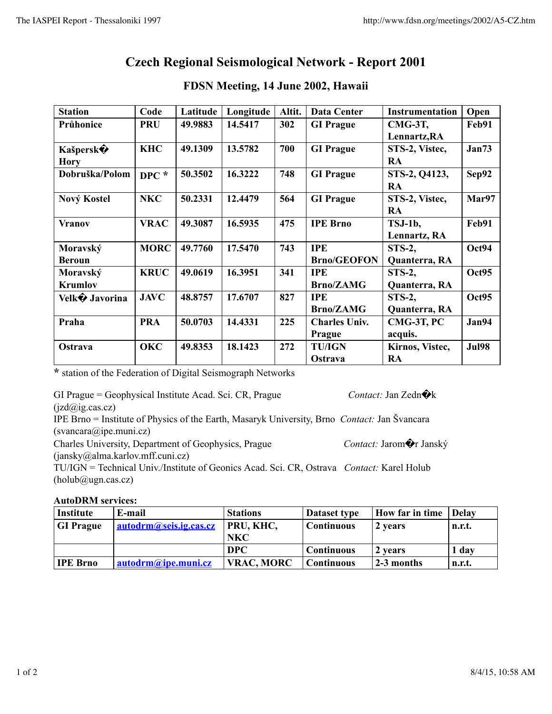## **Czech Regional Seismological Network - Report 2001**

| <b>Station</b>  | Code        | Latitude | Longitude | Altit. | <b>Data Center</b>   | <b>Instrumentation</b> | Open         |
|-----------------|-------------|----------|-----------|--------|----------------------|------------------------|--------------|
| Průhonice       | <b>PRU</b>  | 49.9883  | 14.5417   | 302    | <b>GI Prague</b>     | CMG-3T,                | Feb91        |
|                 |             |          |           |        |                      | Lennartz, RA           |              |
| <b>Kašpersk</b> | <b>KHC</b>  | 49.1309  | 13.5782   | 700    | <b>GI</b> Prague     | STS-2, Vistec,         | Jan73        |
| <b>Hory</b>     |             |          |           |        |                      | RA                     |              |
| Dobruška/Polom  | $DPC$ *     | 50.3502  | 16.3222   | 748    | <b>GI</b> Prague     | STS-2, Q4123,          | Sep92        |
|                 |             |          |           |        |                      | <b>RA</b>              |              |
| Nový Kostel     | <b>NKC</b>  | 50.2331  | 12.4479   | 564    | <b>GI</b> Prague     | STS-2, Vistec,         | Mar97        |
|                 |             |          |           |        |                      | RA                     |              |
| <b>Vranov</b>   | <b>VRAC</b> | 49.3087  | 16.5935   | 475    | <b>IPE Brno</b>      | TSJ-1b,                | Feb91        |
|                 |             |          |           |        |                      | Lennartz, RA           |              |
| Moravský        | <b>MORC</b> | 49.7760  | 17.5470   | 743    | <b>IPE</b>           | <b>STS-2,</b>          | Oct94        |
| <b>Beroun</b>   |             |          |           |        | <b>Brno/GEOFON</b>   | Quanterra, RA          |              |
| Moravský        | <b>KRUC</b> | 49.0619  | 16.3951   | 341    | <b>IPE</b>           | <b>STS-2,</b>          | Oct95        |
| <b>Krumlov</b>  |             |          |           |        | <b>Brno/ZAMG</b>     | Quanterra, RA          |              |
| Velk� Javorina  | <b>JAVC</b> | 48.8757  | 17.6707   | 827    | <b>IPE</b>           | <b>STS-2,</b>          | Oct95        |
|                 |             |          |           |        | <b>Brno/ZAMG</b>     | Quanterra, RA          |              |
| Praha           | <b>PRA</b>  | 50.0703  | 14.4331   | 225    | <b>Charles Univ.</b> | CMG-3T, PC             | Jan94        |
|                 |             |          |           |        | Prague               | acquis.                |              |
| Ostrava         | <b>OKC</b>  | 49.8353  | 18.1423   | 272    | <b>TU/IGN</b>        | Kirnos, Vistec,        | <b>Jul98</b> |
|                 |             |          |           |        | Ostrava              | RA                     |              |

## **FDSN Meeting, 14 June 2002, Hawaii**

**\*** station of the Federation of Digital Seismograph Networks

GI Prague = Geophysical Institute Acad. Sci. CR, Prague *Contact: Jan Zedn* $\hat{\mathbf{\Theta}}$ k  $(izd@ig.cas.cz)$ 

IPE Brno = Institute of Physics of the Earth, Masaryk University, Brno *Contact:* Jan Švancara (svancara@ipe.muni.cz)

Charles University, Department of Geophysics, Prague *Contact:* Jarom�r Janský

(jansky@alma.karlov.mff.cuni.cz) TU/IGN = Technical Univ./Institute of Geonics Acad. Sci. CR, Ostrava *Contact:* Karel Holub  $(holub@ugn.cas.cz)$ 

## **AutoDRM services:**

| Institute        | E-mail                 | <b>Stations</b>   | Dataset type      | How far in time | <b>Delay</b> |
|------------------|------------------------|-------------------|-------------------|-----------------|--------------|
| <b>GI</b> Prague | autodrm@seis.ig.cas.cz | PRU, KHC,         | <b>Continuous</b> | 2 years         | n.r.t.       |
|                  |                        | <b>NKC</b>        |                   |                 |              |
|                  |                        | <b>DPC</b>        | <b>Continuous</b> | 2 years         | 1 day        |
| <b>IPE Brno</b>  | autodrm@ipe.muni.cz    | <b>VRAC, MORC</b> | <b>Continuous</b> | $2-3$ months    | n.r.t.       |